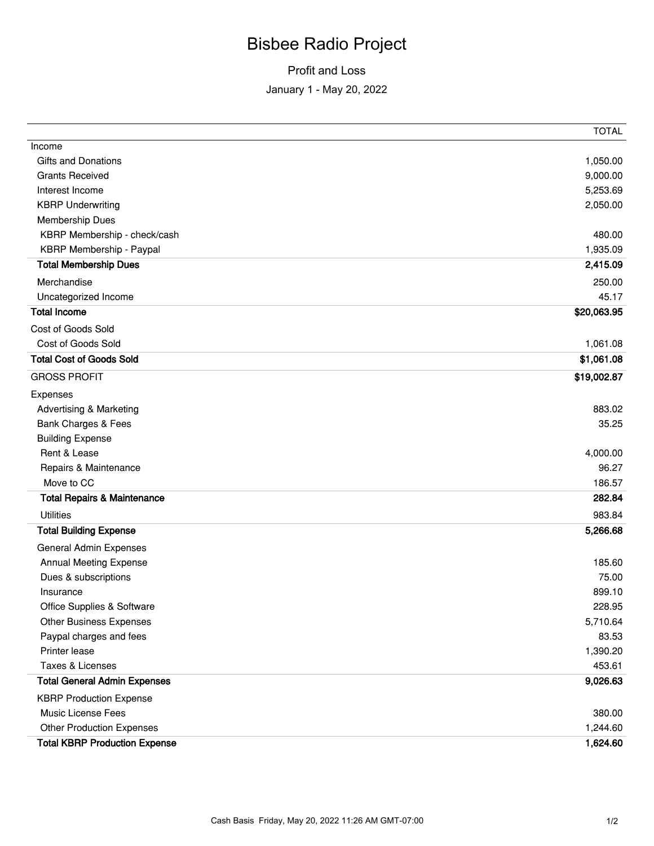## Bisbee Radio Project

## Profit and Loss January 1 - May 20, 2022

|                                        | <b>TOTAL</b> |
|----------------------------------------|--------------|
| Income                                 |              |
| <b>Gifts and Donations</b>             | 1,050.00     |
| <b>Grants Received</b>                 | 9,000.00     |
| Interest Income                        | 5,253.69     |
| <b>KBRP Underwriting</b>               | 2,050.00     |
| <b>Membership Dues</b>                 |              |
| KBRP Membership - check/cash           | 480.00       |
| KBRP Membership - Paypal               | 1,935.09     |
| <b>Total Membership Dues</b>           | 2,415.09     |
| Merchandise                            | 250.00       |
| Uncategorized Income                   | 45.17        |
| <b>Total Income</b>                    | \$20,063.95  |
| Cost of Goods Sold                     |              |
| Cost of Goods Sold                     | 1,061.08     |
| <b>Total Cost of Goods Sold</b>        | \$1,061.08   |
| <b>GROSS PROFIT</b>                    | \$19,002.87  |
| Expenses                               |              |
| <b>Advertising &amp; Marketing</b>     | 883.02       |
| Bank Charges & Fees                    | 35.25        |
| <b>Building Expense</b>                |              |
| Rent & Lease                           | 4,000.00     |
| Repairs & Maintenance                  | 96.27        |
| Move to CC                             | 186.57       |
| <b>Total Repairs &amp; Maintenance</b> | 282.84       |
| <b>Utilities</b>                       | 983.84       |
| <b>Total Building Expense</b>          | 5,266.68     |
| General Admin Expenses                 |              |
| Annual Meeting Expense                 | 185.60       |
| Dues & subscriptions                   | 75.00        |
| Insurance                              | 899.10       |
| Office Supplies & Software             | 228.95       |
| <b>Other Business Expenses</b>         | 5,710.64     |
| Paypal charges and fees                | 83.53        |
| Printer lease                          | 1,390.20     |
| Taxes & Licenses                       | 453.61       |
| <b>Total General Admin Expenses</b>    | 9,026.63     |
| <b>KBRP Production Expense</b>         |              |
| Music License Fees                     | 380.00       |
| <b>Other Production Expenses</b>       | 1,244.60     |
| <b>Total KBRP Production Expense</b>   | 1,624.60     |